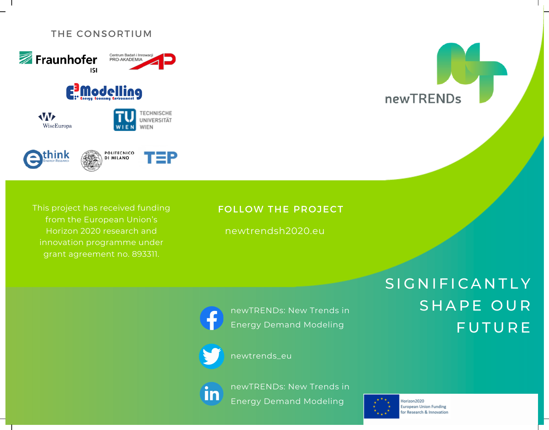## THE CONSORTIUM



This project has received funding from the European Union's Horizon 2020 research and innovation programme under grant agreement no. 893311.

# FOLLOW THE PROJECT

newtrendsh2020.eu



newTRENDs: New Trends in Energy Demand Modeling

newtrends\_eu

newTRENDs: New Trends in in Energy Demand Modeling



Horizon2020 **European Union Funding** for Research & Innovation

newTRENDs

SIGNIFICANTLY

SHAPE OUR

**FUTURE**